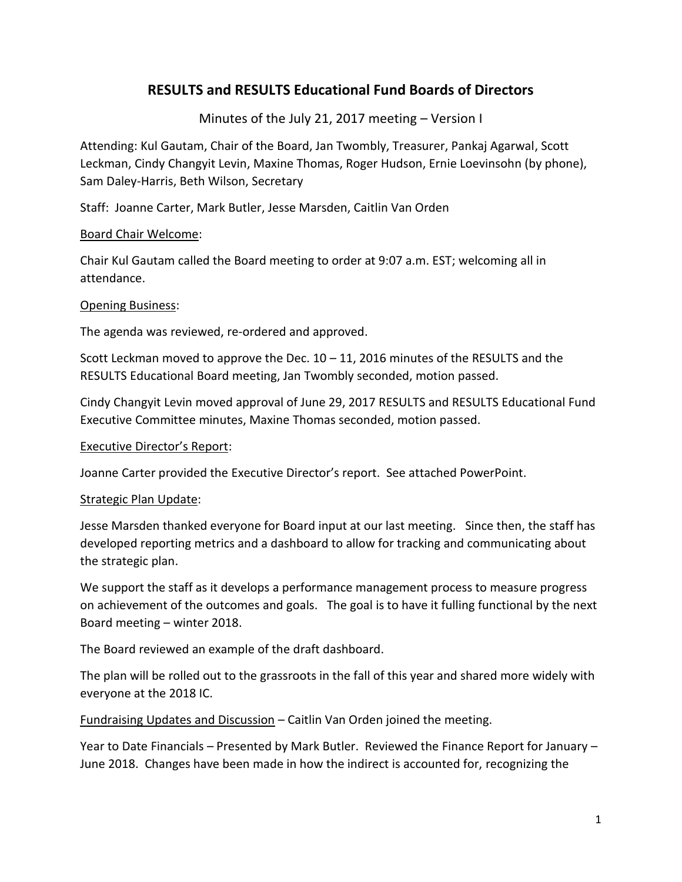# **RESULTS and RESULTS Educational Fund Boards of Directors**

Minutes of the July 21, 2017 meeting – Version I

Attending: Kul Gautam, Chair of the Board, Jan Twombly, Treasurer, Pankaj Agarwal, Scott Leckman, Cindy Changyit Levin, Maxine Thomas, Roger Hudson, Ernie Loevinsohn (by phone), Sam Daley-Harris, Beth Wilson, Secretary

Staff: Joanne Carter, Mark Butler, Jesse Marsden, Caitlin Van Orden

## Board Chair Welcome:

Chair Kul Gautam called the Board meeting to order at 9:07 a.m. EST; welcoming all in attendance.

## Opening Business:

The agenda was reviewed, re-ordered and approved.

Scott Leckman moved to approve the Dec. 10 – 11, 2016 minutes of the RESULTS and the RESULTS Educational Board meeting, Jan Twombly seconded, motion passed.

Cindy Changyit Levin moved approval of June 29, 2017 RESULTS and RESULTS Educational Fund Executive Committee minutes, Maxine Thomas seconded, motion passed.

#### Executive Director's Report:

Joanne Carter provided the Executive Director's report. See attached PowerPoint.

#### Strategic Plan Update:

Jesse Marsden thanked everyone for Board input at our last meeting. Since then, the staff has developed reporting metrics and a dashboard to allow for tracking and communicating about the strategic plan.

We support the staff as it develops a performance management process to measure progress on achievement of the outcomes and goals. The goal is to have it fulling functional by the next Board meeting – winter 2018.

The Board reviewed an example of the draft dashboard.

The plan will be rolled out to the grassroots in the fall of this year and shared more widely with everyone at the 2018 IC.

Fundraising Updates and Discussion – Caitlin Van Orden joined the meeting.

Year to Date Financials – Presented by Mark Butler. Reviewed the Finance Report for January – June 2018. Changes have been made in how the indirect is accounted for, recognizing the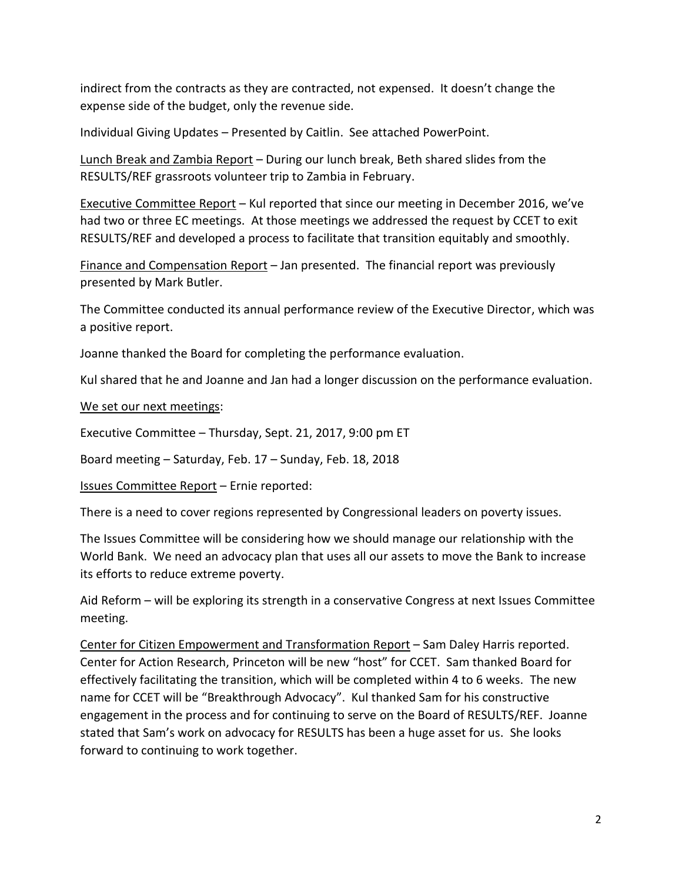indirect from the contracts as they are contracted, not expensed. It doesn't change the expense side of the budget, only the revenue side.

Individual Giving Updates – Presented by Caitlin. See attached PowerPoint.

Lunch Break and Zambia Report – During our lunch break, Beth shared slides from the RESULTS/REF grassroots volunteer trip to Zambia in February.

Executive Committee Report – Kul reported that since our meeting in December 2016, we've had two or three EC meetings. At those meetings we addressed the request by CCET to exit RESULTS/REF and developed a process to facilitate that transition equitably and smoothly.

Finance and Compensation Report – Jan presented. The financial report was previously presented by Mark Butler.

The Committee conducted its annual performance review of the Executive Director, which was a positive report.

Joanne thanked the Board for completing the performance evaluation.

Kul shared that he and Joanne and Jan had a longer discussion on the performance evaluation.

We set our next meetings:

Executive Committee – Thursday, Sept. 21, 2017, 9:00 pm ET

Board meeting – Saturday, Feb. 17 – Sunday, Feb. 18, 2018

Issues Committee Report – Ernie reported:

There is a need to cover regions represented by Congressional leaders on poverty issues.

The Issues Committee will be considering how we should manage our relationship with the World Bank. We need an advocacy plan that uses all our assets to move the Bank to increase its efforts to reduce extreme poverty.

Aid Reform – will be exploring its strength in a conservative Congress at next Issues Committee meeting.

Center for Citizen Empowerment and Transformation Report – Sam Daley Harris reported. Center for Action Research, Princeton will be new "host" for CCET. Sam thanked Board for effectively facilitating the transition, which will be completed within 4 to 6 weeks. The new name for CCET will be "Breakthrough Advocacy". Kul thanked Sam for his constructive engagement in the process and for continuing to serve on the Board of RESULTS/REF. Joanne stated that Sam's work on advocacy for RESULTS has been a huge asset for us. She looks forward to continuing to work together.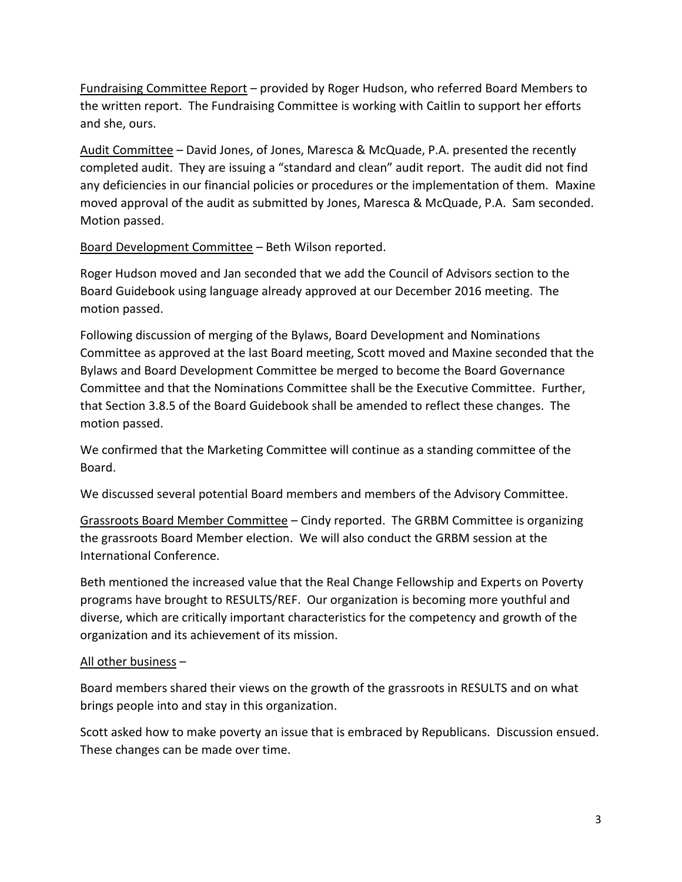Fundraising Committee Report – provided by Roger Hudson, who referred Board Members to the written report. The Fundraising Committee is working with Caitlin to support her efforts and she, ours.

Audit Committee – David Jones, of Jones, Maresca & McQuade, P.A. presented the recently completed audit. They are issuing a "standard and clean" audit report. The audit did not find any deficiencies in our financial policies or procedures or the implementation of them. Maxine moved approval of the audit as submitted by Jones, Maresca & McQuade, P.A. Sam seconded. Motion passed.

Board Development Committee – Beth Wilson reported.

Roger Hudson moved and Jan seconded that we add the Council of Advisors section to the Board Guidebook using language already approved at our December 2016 meeting. The motion passed.

Following discussion of merging of the Bylaws, Board Development and Nominations Committee as approved at the last Board meeting, Scott moved and Maxine seconded that the Bylaws and Board Development Committee be merged to become the Board Governance Committee and that the Nominations Committee shall be the Executive Committee. Further, that Section 3.8.5 of the Board Guidebook shall be amended to reflect these changes. The motion passed.

We confirmed that the Marketing Committee will continue as a standing committee of the Board.

We discussed several potential Board members and members of the Advisory Committee.

Grassroots Board Member Committee – Cindy reported. The GRBM Committee is organizing the grassroots Board Member election. We will also conduct the GRBM session at the International Conference.

Beth mentioned the increased value that the Real Change Fellowship and Experts on Poverty programs have brought to RESULTS/REF. Our organization is becoming more youthful and diverse, which are critically important characteristics for the competency and growth of the organization and its achievement of its mission.

# All other business –

Board members shared their views on the growth of the grassroots in RESULTS and on what brings people into and stay in this organization.

Scott asked how to make poverty an issue that is embraced by Republicans. Discussion ensued. These changes can be made over time.